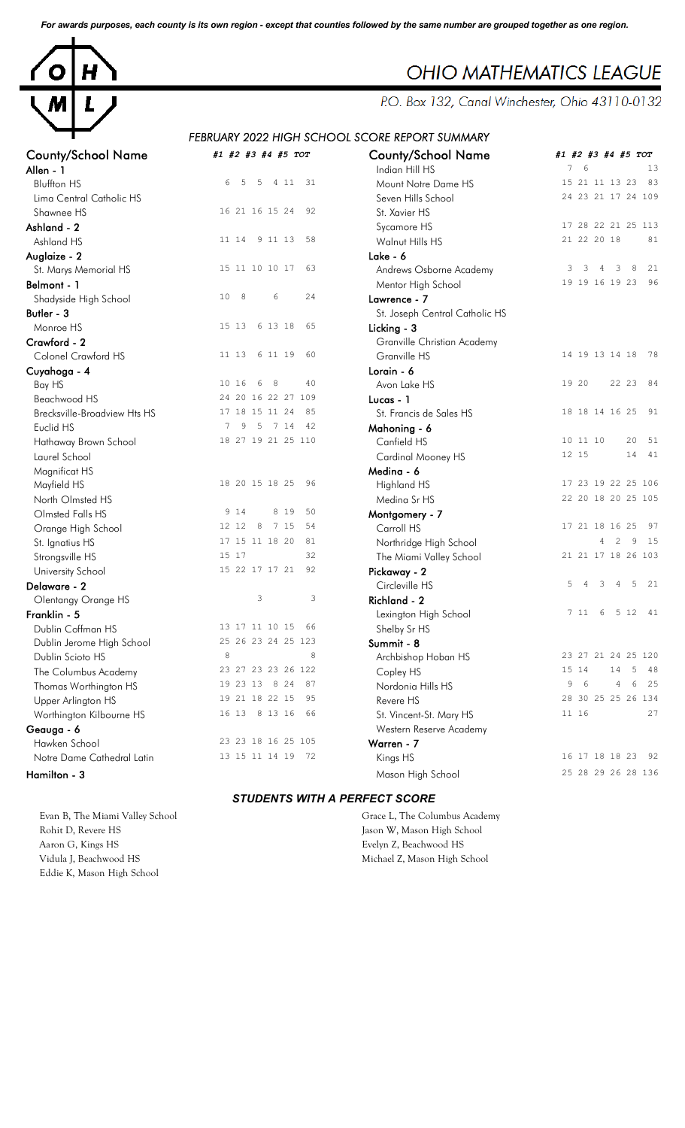*For awards purposes, each county is its own region - except that counties followed by the same number are grouped together as one region.*



# County/School Name *#1 #2 #3 #4 #5 TOT* County/School Name *#1 #2 #3 #4 #5 TOT* **Allen - 1 Indian Hill HS 13 Indian Hill HS 13** Lima Central Catholic HS Shawnee HS 16 21 16 15 24 92 Ashland - 2 **Ashland - 2** Sycamore HS 5 Sycamore HS 5 Sycamore HS 47 28 22 21 25 113 Ashland HS 11 14 9 11 13 58 Auglaize - 2 Lake - 6 St. Marys Memorial HS Parties of the Mentor High School 2008 19 16 19 23 96 Shadyside High School 10 8 6 24 **Butler - 3** St. Joseph Central Catholic HS Monroe HS 15 13 6 13 18 65 Crawford - 2<br>
Colonel Crawford HS 11 13 6 11 19 60 Colonel Crawford HS Cuyahoga - 4 Beachwood HS<br>
Breckwille-Broadview Htc HS<br>
24 20 16 22 27 109<br>
24 20 17 18 15 11 24 85 Brecksville-Broadview Hts HS Euclid HS 7 9 5 7 14 42 Mahoning - 6 Hathaway Brown School Magnificat HS Mayfield HS 18 20 15 18 25 96 North Olmsted HS Medina Sr HS 22 20 18 20 25 105 Olmsted Falls HS 9 14 8 19<br>
Orange High School 12 12 8 7 15 Orange High School 12 12 8 7 15 54 St. Ignatius HS 17 15 11 18 20 81<br>
Strongsville HS 15 17 32 University School 15 22 17 17 21 92 **Delaware - 2** and 2 5 and 2 3 4 5 controller Circleville HS 5 4 3 4 5 21 Olentangy Orange HS 3 3 3 3 Franklin - 5 **Franklin - 5** Lexington High School 2 11 6 5 12 41 Dublin Coffman HS 13 17 11 10 15 66 Dublin Jerome High School 25 26 23 24 25 123 Dublin Scioto HS 8<br>
The Columbus Academy 23 27 23 23 26 122 The Columbus Academy 23 27 23 23 26 122<br>
Thomas Worthinaton HS 19 23 13 8 24 87 Thomas Worthington HS Upper Arlington HS 19 21 18 22 15 95 Worthington Kilbourne HS 16 13 8 13 16 66 **Geauga - 6** Nestern Reserve Academy Hawken School 23 23 18 16 25 105<br>
Notre Dame Cathedral Latin 13 15 11 14 19 72 Notre Dame Cathedral Latin

Evan B, The Miami Valley School Grace L, The Columbus Academy Rohit D, Revere HS Jason W, Mason High School Aaron G, Kings HS Evelyn Z, Beachwood HS Vidula J, Beachwood HS Michael Z, Mason High School Eddie K, Mason High School

# **OHIO MATHEMATICS LEAGUE**

P.O. Box 132, Canal Winchester, Ohio 43110-0132

# *FEBRUARY 2022 HIGH SCHOOL SCORE REPORT SUMMARY*

| ounty/School Name:                  | #1 #2 #3 #4 #5 TOT      | <b>County/School Name</b>      | #1 #2 #3 #4 #5 TOT<br>$7^{\circ}$<br>6<br>13 |
|-------------------------------------|-------------------------|--------------------------------|----------------------------------------------|
| llen - 1                            |                         | Indian Hill HS                 | 83                                           |
| <b>Bluffton HS</b>                  | 6<br>5<br>5 4 11 31     | Mount Notre Dame HS            | 15 21 11 13 23                               |
| Lima Central Catholic HS            |                         | Seven Hills School             | 24 23 21 17 24 109                           |
| Shawnee HS                          | 16 21 16 15 24<br>92    | St. Xavier HS                  |                                              |
| shland - 2                          |                         | Sycamore HS                    | 17 28 22 21 25 113                           |
| Ashland HS                          | 11 14 9 11 13<br>58     | Walnut Hills HS                | 21 22 20 18<br>81                            |
| uglaize - 2                         |                         | Lake - 6                       |                                              |
| St. Marys Memorial HS               | 15 11 10 10 17<br>63    | Andrews Osborne Academy        | $\mathbf{3}$<br>8<br>21<br>3<br>3<br>4       |
| elmont - 1                          |                         | Mentor High School             | 96<br>19 19 16 19 23                         |
| Shadyside High School               | 10 8<br>6<br>24         | Lawrence - 7                   |                                              |
| tler - 3                            |                         | St. Joseph Central Catholic HS |                                              |
| Monroe HS                           | 15 13 6 13 18<br>65     | Licking - 3                    |                                              |
| rawford - 2                         |                         | Granville Christian Academy    |                                              |
| Colonel Crawford HS                 | 11 13<br>6 11 19<br>60  | Granville HS                   | 14 19 13 14 18<br>78                         |
| uyahoga - 4                         |                         | Lorain - 6                     |                                              |
| Bay HS                              | 10 16<br>6<br>- 8<br>40 | Avon Lake HS                   | 19 20<br>22 23 84                            |
| Beachwood HS                        | 24 20 16 22 27 109      | Lucas - 1                      |                                              |
| <b>Brecksville-Broadview Hts HS</b> | 17 18 15 11 24<br>85    | St. Francis de Sales HS        | 18 18 14 16 25<br>91                         |
| Euclid HS                           | 9<br>5 7 14<br>7<br>42  | Mahoning - 6                   |                                              |
| Hathaway Brown School               | 18 27 19 21 25 110      | Canfield HS                    | 10 11 10<br>20<br>51                         |
| Laurel School                       |                         | Cardinal Mooney HS             | 12 15<br>14 41                               |
| Magnificat HS                       |                         | Medina - 6                     |                                              |
| Mayfield HS                         | 18 20 15 18 25<br>96    | Highland HS                    | 17 23 19 22 25 106                           |
| North Olmsted HS                    |                         | Medina Sr HS                   | 22 20 18 20 25 105                           |
| Olmsted Falls HS                    | 9 1 4<br>8 1 9<br>50    | Montgomery - 7                 |                                              |
| Orange High School                  | 12 12 8<br>7 15<br>54   | Carroll HS                     | 17 21 18 16 25<br>97                         |
| St. Ignatius HS                     | 17 15 11 18 20<br>81    | Northridge High School         | 2<br>4<br>9<br>15                            |
| Strongsville HS                     | 15 17<br>32             | The Miami Valley School        | 21 21 17 18 26 103                           |
| University School                   | 15 22 17 17 21<br>92    | Pickaway - 2                   |                                              |
| elaware - 2                         |                         | Circleville HS                 | 5<br>3<br>5 21<br>4<br>4                     |
| Olentangy Orange HS                 | 3<br>3                  | Richland - 2                   |                                              |
| anklin - 5                          |                         | Lexington High School          | 7 11 6<br>5 12<br>41                         |
| Dublin Coffman HS                   | 13 17 11 10 15<br>66    | Shelby Sr HS                   |                                              |
| Dublin Jerome High School           | 25 26 23 24 25 123      | Summit - 8                     |                                              |
| Dublin Scioto HS                    | 8<br>8                  | Archbishop Hoban HS            | 23 27 21 24 25 120                           |
| The Columbus Academy                | 23 27 23 23 26 122      | Copley HS                      | 15 14<br>14<br>5<br>-48                      |
| Thomas Worthington HS               | 19 23 13 8 24<br>87     | Nordonia Hills HS              | 6<br>9<br>4<br>6<br>25                       |
| Upper Arlington HS                  | 19 21 18 22 15<br>95    | Revere HS                      | 28 30 25 25 26 134                           |
| Worthington Kilbourne HS            | 16 13 8 13 16<br>66     | St. Vincent-St. Mary HS        | 11 16<br>27                                  |
| eauga - 6                           |                         | Western Reserve Academy        |                                              |
| Hawken School                       | 23 23 18 16 25 105      | Warren - 7                     |                                              |
| Notre Dame Cathedral Latin          | 13 15 11 14 19 72       | Kings HS                       | 16 17 18 18 23<br>92                         |
|                                     |                         |                                |                                              |
| amilton - 3                         |                         | Mason High School              | 25 28 29 26 28 136                           |

#### *STUDENTS WITH A PERFECT SCORE*